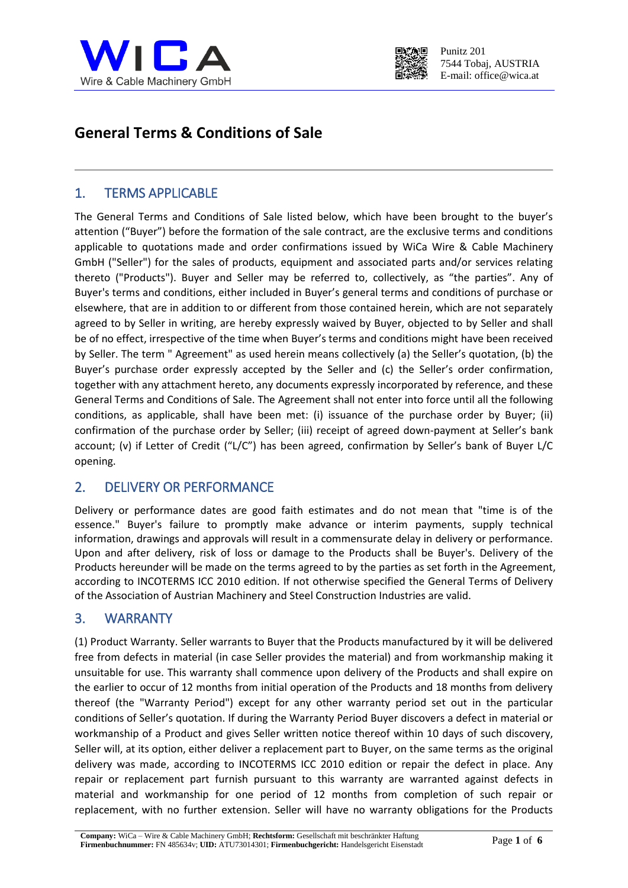



# **General Terms & Conditions of Sale**

#### 1. TERMS APPLICABLE

The General Terms and Conditions of Sale listed below, which have been brought to the buyer's attention ("Buyer") before the formation of the sale contract, are the exclusive terms and conditions applicable to quotations made and order confirmations issued by WiCa Wire & Cable Machinery GmbH ("Seller") for the sales of products, equipment and associated parts and/or services relating thereto ("Products"). Buyer and Seller may be referred to, collectively, as "the parties". Any of Buyer's terms and conditions, either included in Buyer's general terms and conditions of purchase or elsewhere, that are in addition to or different from those contained herein, which are not separately agreed to by Seller in writing, are hereby expressly waived by Buyer, objected to by Seller and shall be of no effect, irrespective of the time when Buyer's terms and conditions might have been received by Seller. The term " Agreement" as used herein means collectively (a) the Seller's quotation, (b) the Buyer's purchase order expressly accepted by the Seller and (c) the Seller's order confirmation, together with any attachment hereto, any documents expressly incorporated by reference, and these General Terms and Conditions of Sale. The Agreement shall not enter into force until all the following conditions, as applicable, shall have been met: (i) issuance of the purchase order by Buyer; (ii) confirmation of the purchase order by Seller; (iii) receipt of agreed down-payment at Seller's bank account; (v) if Letter of Credit ("L/C") has been agreed, confirmation by Seller's bank of Buyer L/C opening.

#### 2. DELIVERY OR PERFORMANCE

Delivery or performance dates are good faith estimates and do not mean that "time is of the essence." Buyer's failure to promptly make advance or interim payments, supply technical information, drawings and approvals will result in a commensurate delay in delivery or performance. Upon and after delivery, risk of loss or damage to the Products shall be Buyer's. Delivery of the Products hereunder will be made on the terms agreed to by the parties as set forth in the Agreement, according to INCOTERMS ICC 2010 edition. If not otherwise specified the General Terms of Delivery of the Association of Austrian Machinery and Steel Construction Industries are valid.

## 3. WARRANTY

(1) Product Warranty. Seller warrants to Buyer that the Products manufactured by it will be delivered free from defects in material (in case Seller provides the material) and from workmanship making it unsuitable for use. This warranty shall commence upon delivery of the Products and shall expire on the earlier to occur of 12 months from initial operation of the Products and 18 months from delivery thereof (the "Warranty Period") except for any other warranty period set out in the particular conditions of Seller's quotation. If during the Warranty Period Buyer discovers a defect in material or workmanship of a Product and gives Seller written notice thereof within 10 days of such discovery, Seller will, at its option, either deliver a replacement part to Buyer, on the same terms as the original delivery was made, according to INCOTERMS ICC 2010 edition or repair the defect in place. Any repair or replacement part furnish pursuant to this warranty are warranted against defects in material and workmanship for one period of 12 months from completion of such repair or replacement, with no further extension. Seller will have no warranty obligations for the Products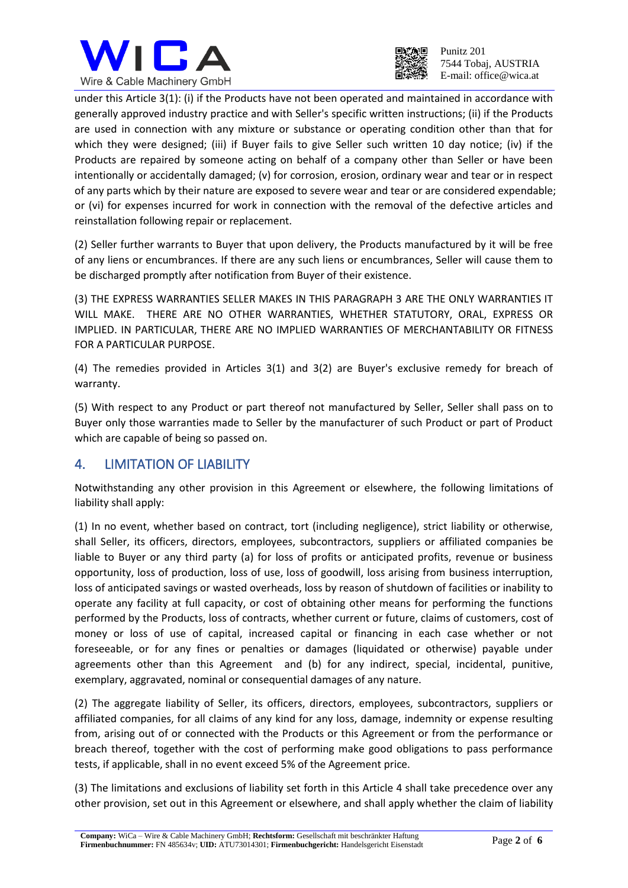



Punitz 201 7544 Tobaj, AUSTRIA E-mail: office@wica.at

under this Article 3(1): (i) if the Products have not been operated and maintained in accordance with generally approved industry practice and with Seller's specific written instructions; (ii) if the Products are used in connection with any mixture or substance or operating condition other than that for which they were designed; (iii) if Buyer fails to give Seller such written 10 day notice; (iv) if the Products are repaired by someone acting on behalf of a company other than Seller or have been intentionally or accidentally damaged; (v) for corrosion, erosion, ordinary wear and tear or in respect of any parts which by their nature are exposed to severe wear and tear or are considered expendable; or (vi) for expenses incurred for work in connection with the removal of the defective articles and reinstallation following repair or replacement.

(2) Seller further warrants to Buyer that upon delivery, the Products manufactured by it will be free of any liens or encumbrances. If there are any such liens or encumbrances, Seller will cause them to be discharged promptly after notification from Buyer of their existence.

(3) THE EXPRESS WARRANTIES SELLER MAKES IN THIS PARAGRAPH 3 ARE THE ONLY WARRANTIES IT WILL MAKE. THERE ARE NO OTHER WARRANTIES, WHETHER STATUTORY, ORAL, EXPRESS OR IMPLIED. IN PARTICULAR, THERE ARE NO IMPLIED WARRANTIES OF MERCHANTABILITY OR FITNESS FOR A PARTICULAR PURPOSE.

(4) The remedies provided in Articles 3(1) and 3(2) are Buyer's exclusive remedy for breach of warranty.

(5) With respect to any Product or part thereof not manufactured by Seller, Seller shall pass on to Buyer only those warranties made to Seller by the manufacturer of such Product or part of Product which are capable of being so passed on.

#### 4. LIMITATION OF LIABILITY

Notwithstanding any other provision in this Agreement or elsewhere, the following limitations of liability shall apply:

(1) In no event, whether based on contract, tort (including negligence), strict liability or otherwise, shall Seller, its officers, directors, employees, subcontractors, suppliers or affiliated companies be liable to Buyer or any third party (a) for loss of profits or anticipated profits, revenue or business opportunity, loss of production, loss of use, loss of goodwill, loss arising from business interruption, loss of anticipated savings or wasted overheads, loss by reason of shutdown of facilities or inability to operate any facility at full capacity, or cost of obtaining other means for performing the functions performed by the Products, loss of contracts, whether current or future, claims of customers, cost of money or loss of use of capital, increased capital or financing in each case whether or not foreseeable, or for any fines or penalties or damages (liquidated or otherwise) payable under agreements other than this Agreement and (b) for any indirect, special, incidental, punitive, exemplary, aggravated, nominal or consequential damages of any nature.

(2) The aggregate liability of Seller, its officers, directors, employees, subcontractors, suppliers or affiliated companies, for all claims of any kind for any loss, damage, indemnity or expense resulting from, arising out of or connected with the Products or this Agreement or from the performance or breach thereof, together with the cost of performing make good obligations to pass performance tests, if applicable, shall in no event exceed 5% of the Agreement price.

(3) The limitations and exclusions of liability set forth in this Article 4 shall take precedence over any other provision, set out in this Agreement or elsewhere, and shall apply whether the claim of liability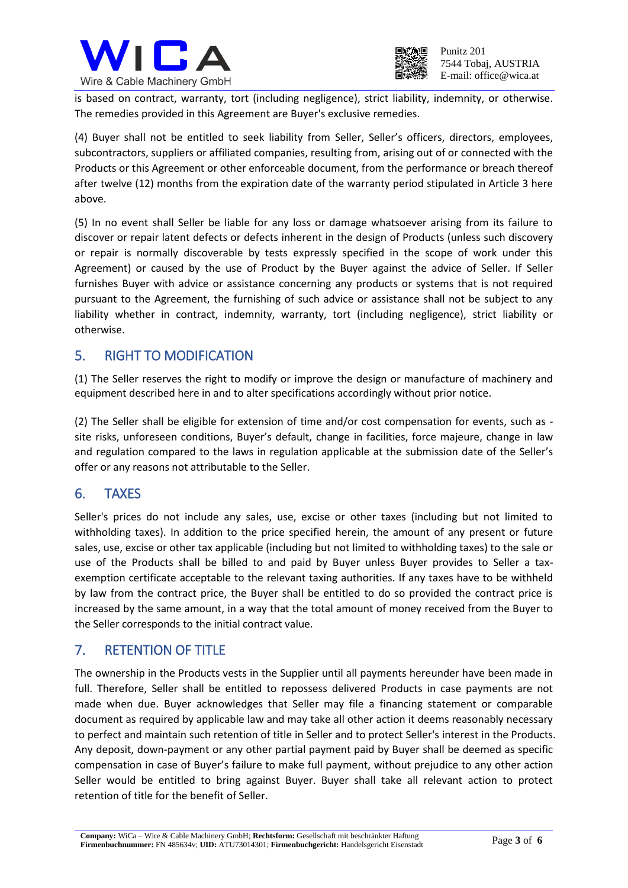



is based on contract, warranty, tort (including negligence), strict liability, indemnity, or otherwise. The remedies provided in this Agreement are Buyer's exclusive remedies.

(4) Buyer shall not be entitled to seek liability from Seller, Seller's officers, directors, employees, subcontractors, suppliers or affiliated companies, resulting from, arising out of or connected with the Products or this Agreement or other enforceable document, from the performance or breach thereof after twelve (12) months from the expiration date of the warranty period stipulated in Article 3 here above.

(5) In no event shall Seller be liable for any loss or damage whatsoever arising from its failure to discover or repair latent defects or defects inherent in the design of Products (unless such discovery or repair is normally discoverable by tests expressly specified in the scope of work under this Agreement) or caused by the use of Product by the Buyer against the advice of Seller. If Seller furnishes Buyer with advice or assistance concerning any products or systems that is not required pursuant to the Agreement, the furnishing of such advice or assistance shall not be subject to any liability whether in contract, indemnity, warranty, tort (including negligence), strict liability or otherwise.

## 5. RIGHT TO MODIFICATION

(1) The Seller reserves the right to modify or improve the design or manufacture of machinery and equipment described here in and to alter specifications accordingly without prior notice.

(2) The Seller shall be eligible for extension of time and/or cost compensation for events, such as site risks, unforeseen conditions, Buyer's default, change in facilities, force majeure, change in law and regulation compared to the laws in regulation applicable at the submission date of the Seller's offer or any reasons not attributable to the Seller.

#### 6. TAXES

Seller's prices do not include any sales, use, excise or other taxes (including but not limited to withholding taxes). In addition to the price specified herein, the amount of any present or future sales, use, excise or other tax applicable (including but not limited to withholding taxes) to the sale or use of the Products shall be billed to and paid by Buyer unless Buyer provides to Seller a taxexemption certificate acceptable to the relevant taxing authorities. If any taxes have to be withheld by law from the contract price, the Buyer shall be entitled to do so provided the contract price is increased by the same amount, in a way that the total amount of money received from the Buyer to the Seller corresponds to the initial contract value.

#### 7. RETENTION OF TITLE

The ownership in the Products vests in the Supplier until all payments hereunder have been made in full. Therefore, Seller shall be entitled to repossess delivered Products in case payments are not made when due. Buyer acknowledges that Seller may file a financing statement or comparable document as required by applicable law and may take all other action it deems reasonably necessary to perfect and maintain such retention of title in Seller and to protect Seller's interest in the Products. Any deposit, down-payment or any other partial payment paid by Buyer shall be deemed as specific compensation in case of Buyer's failure to make full payment, without prejudice to any other action Seller would be entitled to bring against Buyer. Buyer shall take all relevant action to protect retention of title for the benefit of Seller.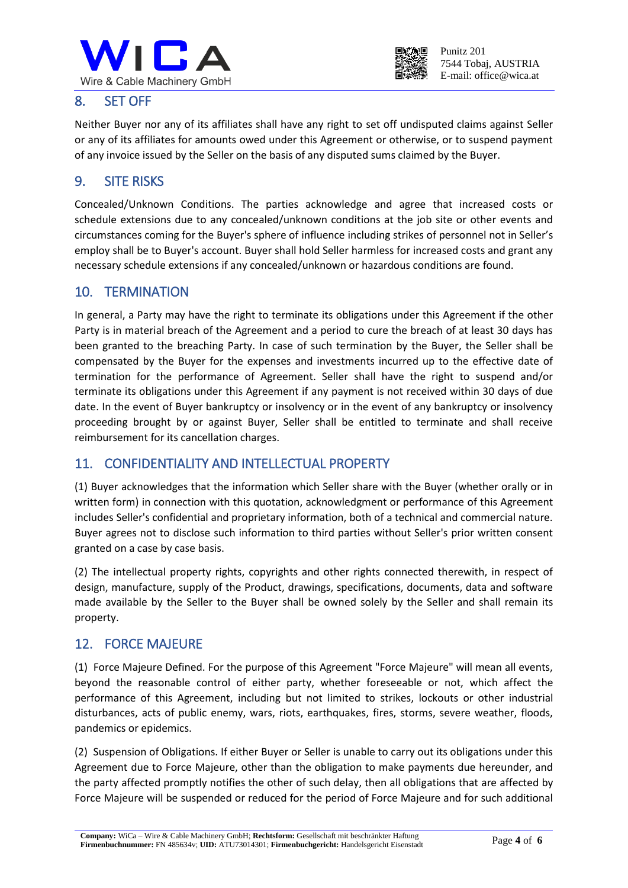



### 8. SET OFF

Neither Buyer nor any of its affiliates shall have any right to set off undisputed claims against Seller or any of its affiliates for amounts owed under this Agreement or otherwise, or to suspend payment of any invoice issued by the Seller on the basis of any disputed sums claimed by the Buyer.

#### 9. SITE RISKS

Concealed/Unknown Conditions. The parties acknowledge and agree that increased costs or schedule extensions due to any concealed/unknown conditions at the job site or other events and circumstances coming for the Buyer's sphere of influence including strikes of personnel not in Seller's employ shall be to Buyer's account. Buyer shall hold Seller harmless for increased costs and grant any necessary schedule extensions if any concealed/unknown or hazardous conditions are found.

#### 10. TERMINATION

In general, a Party may have the right to terminate its obligations under this Agreement if the other Party is in material breach of the Agreement and a period to cure the breach of at least 30 days has been granted to the breaching Party. In case of such termination by the Buyer, the Seller shall be compensated by the Buyer for the expenses and investments incurred up to the effective date of termination for the performance of Agreement. Seller shall have the right to suspend and/or terminate its obligations under this Agreement if any payment is not received within 30 days of due date. In the event of Buyer bankruptcy or insolvency or in the event of any bankruptcy or insolvency proceeding brought by or against Buyer, Seller shall be entitled to terminate and shall receive reimbursement for its cancellation charges.

## 11. CONFIDENTIALITY AND INTELLECTUAL PROPERTY

(1) Buyer acknowledges that the information which Seller share with the Buyer (whether orally or in written form) in connection with this quotation, acknowledgment or performance of this Agreement includes Seller's confidential and proprietary information, both of a technical and commercial nature. Buyer agrees not to disclose such information to third parties without Seller's prior written consent granted on a case by case basis.

(2) The intellectual property rights, copyrights and other rights connected therewith, in respect of design, manufacture, supply of the Product, drawings, specifications, documents, data and software made available by the Seller to the Buyer shall be owned solely by the Seller and shall remain its property.

#### 12. FORCE MAJEURE

(1) Force Majeure Defined. For the purpose of this Agreement "Force Majeure" will mean all events, beyond the reasonable control of either party, whether foreseeable or not, which affect the performance of this Agreement, including but not limited to strikes, lockouts or other industrial disturbances, acts of public enemy, wars, riots, earthquakes, fires, storms, severe weather, floods, pandemics or epidemics.

(2) Suspension of Obligations. If either Buyer or Seller is unable to carry out its obligations under this Agreement due to Force Majeure, other than the obligation to make payments due hereunder, and the party affected promptly notifies the other of such delay, then all obligations that are affected by Force Majeure will be suspended or reduced for the period of Force Majeure and for such additional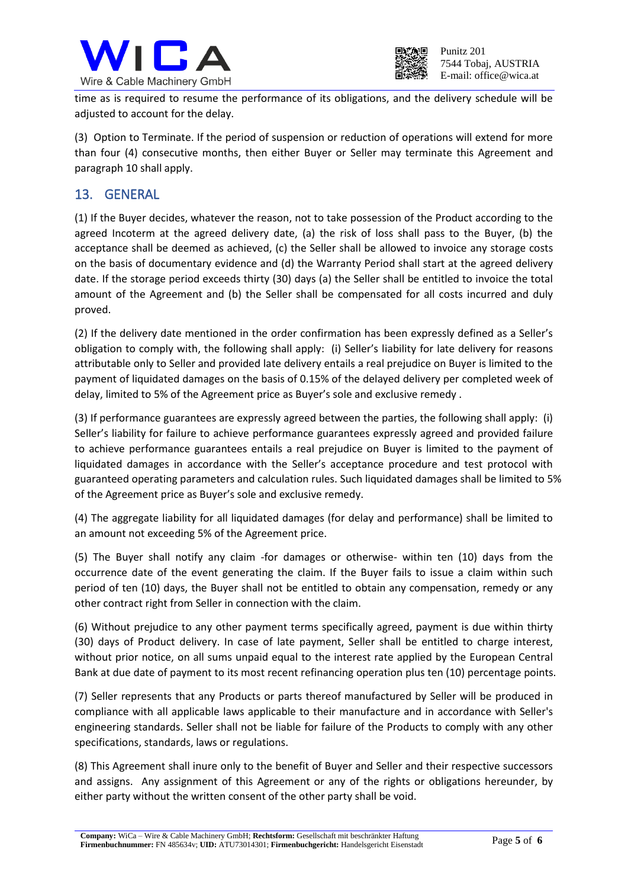



time as is required to resume the performance of its obligations, and the delivery schedule will be adjusted to account for the delay.

(3) Option to Terminate. If the period of suspension or reduction of operations will extend for more than four (4) consecutive months, then either Buyer or Seller may terminate this Agreement and paragraph 10 shall apply.

#### 13. GENERAL

(1) If the Buyer decides, whatever the reason, not to take possession of the Product according to the agreed Incoterm at the agreed delivery date, (a) the risk of loss shall pass to the Buyer, (b) the acceptance shall be deemed as achieved, (c) the Seller shall be allowed to invoice any storage costs on the basis of documentary evidence and (d) the Warranty Period shall start at the agreed delivery date. If the storage period exceeds thirty (30) days (a) the Seller shall be entitled to invoice the total amount of the Agreement and (b) the Seller shall be compensated for all costs incurred and duly proved.

(2) If the delivery date mentioned in the order confirmation has been expressly defined as a Seller's obligation to comply with, the following shall apply: (i) Seller's liability for late delivery for reasons attributable only to Seller and provided late delivery entails a real prejudice on Buyer is limited to the payment of liquidated damages on the basis of 0.15% of the delayed delivery per completed week of delay, limited to 5% of the Agreement price as Buyer's sole and exclusive remedy .

(3) If performance guarantees are expressly agreed between the parties, the following shall apply: (i) Seller's liability for failure to achieve performance guarantees expressly agreed and provided failure to achieve performance guarantees entails a real prejudice on Buyer is limited to the payment of liquidated damages in accordance with the Seller's acceptance procedure and test protocol with guaranteed operating parameters and calculation rules. Such liquidated damages shall be limited to 5% of the Agreement price as Buyer's sole and exclusive remedy.

(4) The aggregate liability for all liquidated damages (for delay and performance) shall be limited to an amount not exceeding 5% of the Agreement price.

(5) The Buyer shall notify any claim -for damages or otherwise- within ten (10) days from the occurrence date of the event generating the claim. If the Buyer fails to issue a claim within such period of ten (10) days, the Buyer shall not be entitled to obtain any compensation, remedy or any other contract right from Seller in connection with the claim.

(6) Without prejudice to any other payment terms specifically agreed, payment is due within thirty (30) days of Product delivery. In case of late payment, Seller shall be entitled to charge interest, without prior notice, on all sums unpaid equal to the interest rate applied by the European Central Bank at due date of payment to its most recent refinancing operation plus ten (10) percentage points.

(7) Seller represents that any Products or parts thereof manufactured by Seller will be produced in compliance with all applicable laws applicable to their manufacture and in accordance with Seller's engineering standards. Seller shall not be liable for failure of the Products to comply with any other specifications, standards, laws or regulations.

(8) This Agreement shall inure only to the benefit of Buyer and Seller and their respective successors and assigns. Any assignment of this Agreement or any of the rights or obligations hereunder, by either party without the written consent of the other party shall be void.